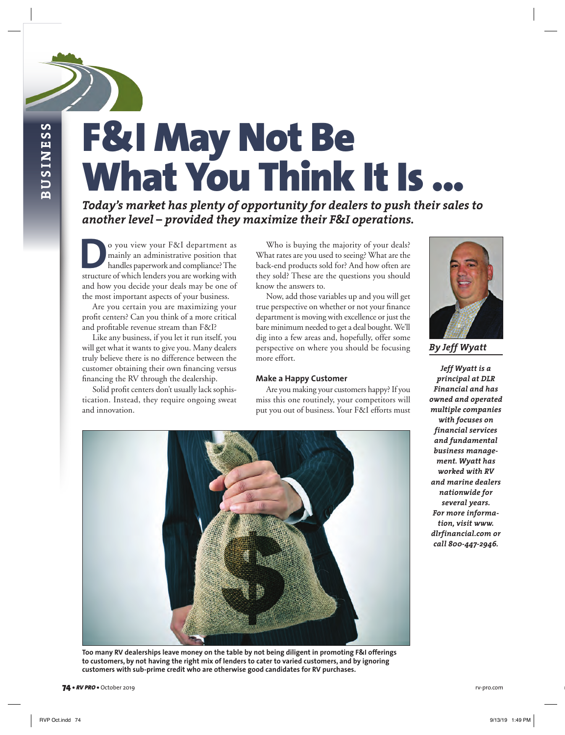**BUSINESS BUSINESS**

# F&I May Not Be What You Think It Is ...

*Today's market has plenty of opportunity for dealers to push their sales to another level – provided they maximize their F&I operations.*

**Do** you view your F&I department as mainly an administrative position that handles paperwork and compliance? The structure of which lenders you are working with mainly an administrative position that handles paperwork and compliance? The and how you decide your deals may be one of the most important aspects of your business.

Are you certain you are maximizing your profit centers? Can you think of a more critical and profitable revenue stream than F&I?

Like any business, if you let it run itself, you will get what it wants to give you. Many dealers truly believe there is no difference between the customer obtaining their own financing versus financing the RV through the dealership.

Solid profit centers don't usually lack sophistication. Instead, they require ongoing sweat and innovation.

Who is buying the majority of your deals? What rates are you used to seeing? What are the back-end products sold for? And how often are they sold? These are the questions you should know the answers to.

Now, add those variables up and you will get true perspective on whether or not your finance department is moving with excellence or just the bare minimum needed to get a deal bought. We'll dig into a few areas and, hopefully, offer some perspective on where you should be focusing more effort.

#### **Make a Happy Customer**

Are you making your customers happy? If you miss this one routinely, your competitors will put you out of business. Your F&I efforts must



*By Jeff Wyatt* 

*Jeff Wyatt is a principal at DLR Financial and has owned and operated multiple companies with focuses on financial services and fundamental business management. Wyatt has worked with RV and marine dealers nationwide for several years. For more information, visit www. dlrfinancial.com or call 800-447-2946.* 



**Too many RV dealerships leave money on the table by not being diligent in promoting F&I offerings to customers, by not having the right mix of lenders to cater to varied customers, and by ignoring customers with sub-prime credit who are otherwise good candidates for RV purchases.**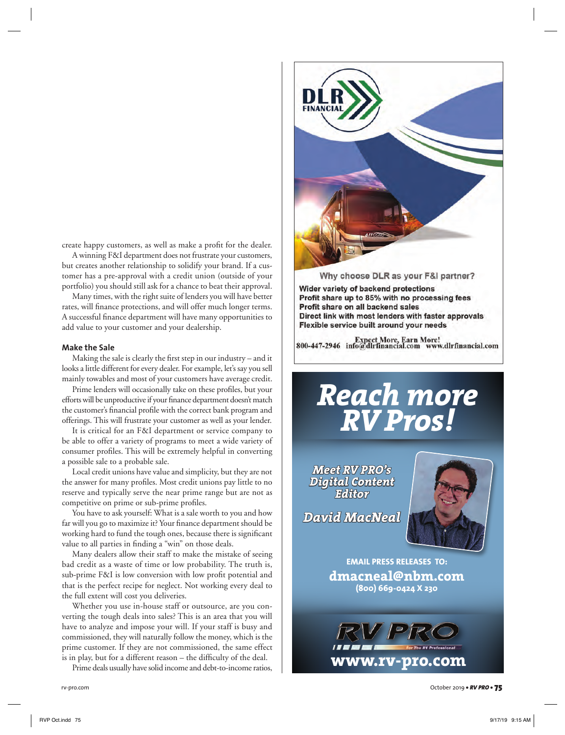create happy customers, as well as make a profit for the dealer.

A winning F&I department does not frustrate your customers, but creates another relationship to solidify your brand. If a customer has a pre-approval with a credit union (outside of your portfolio) you should still ask for a chance to beat their approval.

Many times, with the right suite of lenders you will have better rates, will finance protections, and will offer much longer terms. A successful finance department will have many opportunities to add value to your customer and your dealership.

### **Make the Sale**

Making the sale is clearly the first step in our industry – and it looks a little different for every dealer. For example, let's say you sell mainly towables and most of your customers have average credit.

Prime lenders will occasionally take on these profiles, but your efforts will be unproductive if your finance department doesn't match the customer's financial profile with the correct bank program and offerings. This will frustrate your customer as well as your lender.

It is critical for an F&I department or service company to be able to offer a variety of programs to meet a wide variety of consumer profiles. This will be extremely helpful in converting a possible sale to a probable sale.

Local credit unions have value and simplicity, but they are not the answer for many profiles. Most credit unions pay little to no reserve and typically serve the near prime range but are not as competitive on prime or sub-prime profiles.

You have to ask yourself: What is a sale worth to you and how far will you go to maximize it? Your finance department should be working hard to fund the tough ones, because there is significant value to all parties in finding a "win" on those deals.

Many dealers allow their staff to make the mistake of seeing bad credit as a waste of time or low probability. The truth is, sub-prime F&I is low conversion with low profit potential and that is the perfect recipe for neglect. Not working every deal to the full extent will cost you deliveries.

Whether you use in-house staff or outsource, are you converting the tough deals into sales? This is an area that you will have to analyze and impose your will. If your staff is busy and commissioned, they will naturally follow the money, which is the prime customer. If they are not commissioned, the same effect is in play, but for a different reason – the difficulty of the deal.

Prime deals usually have solid income and debt-to-income ratios,



Wider variety of backend protections Profit share up to 85% with no processing fees Profit share on all backend sales Direct link with most lenders with faster approvals Flexible service built around your needs

Expect More, Earn More!<br>800-447-2946 info@dlrfinancial.com www.dlrfinancial.com

# *Reach more RV Pros!*

*Meet RV PRO's Digital Content Editor*

*David MacNeal*



**EMAIL PRESS RELEASES TO: dmacneal@nbm.com (800) 669-0424 X 230**